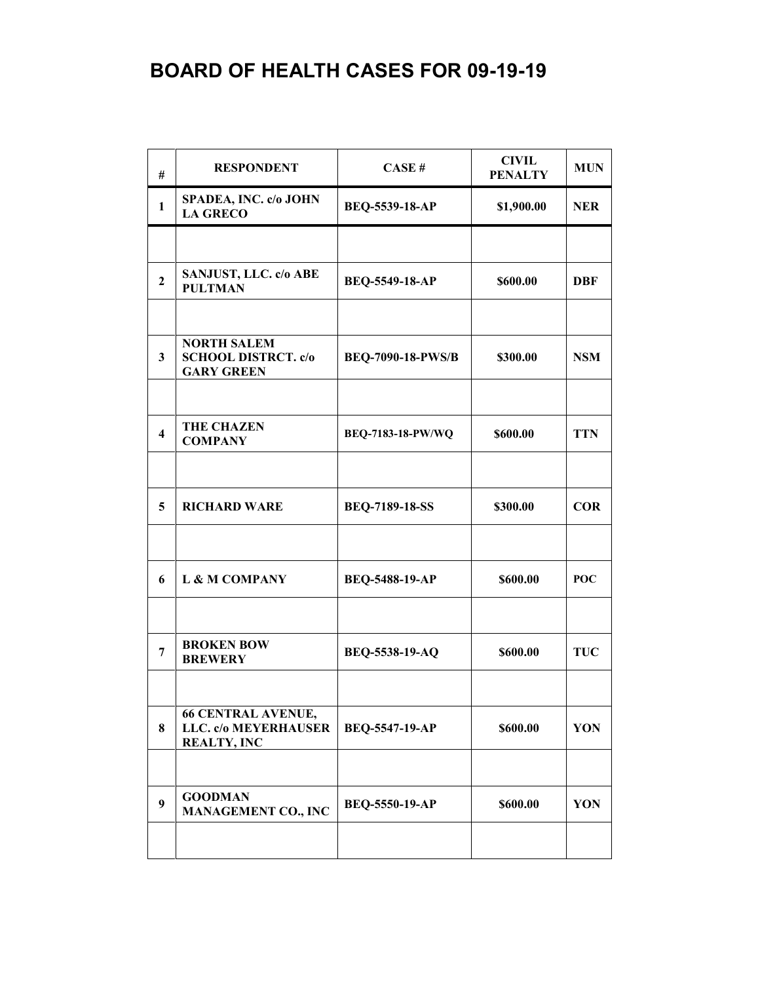| #                       | <b>RESPONDENT</b>                                                       | CASE#                    | <b>CIVIL</b><br><b>PENALTY</b> | <b>MUN</b> |
|-------------------------|-------------------------------------------------------------------------|--------------------------|--------------------------------|------------|
| $\mathbf{1}$            | SPADEA, INC. c/o JOHN<br><b>LA GRECO</b>                                | BEQ-5539-18-AP           | \$1,900.00                     | <b>NER</b> |
|                         |                                                                         |                          |                                |            |
| $\overline{2}$          | SANJUST, LLC. c/o ABE<br><b>PULTMAN</b>                                 | <b>BEQ-5549-18-AP</b>    | \$600.00                       | <b>DBF</b> |
|                         |                                                                         |                          |                                |            |
| 3                       | <b>NORTH SALEM</b><br><b>SCHOOL DISTRCT. c/o</b><br><b>GARY GREEN</b>   | <b>BEQ-7090-18-PWS/B</b> | \$300.00                       | <b>NSM</b> |
|                         |                                                                         |                          |                                |            |
| $\overline{\mathbf{4}}$ | <b>THE CHAZEN</b><br><b>COMPANY</b>                                     | <b>BEQ-7183-18-PW/WQ</b> | \$600.00                       | <b>TTN</b> |
|                         |                                                                         |                          |                                |            |
| 5                       | <b>RICHARD WARE</b>                                                     | <b>BEQ-7189-18-SS</b>    | \$300.00                       | <b>COR</b> |
|                         |                                                                         |                          |                                |            |
| 6                       | L & M COMPANY                                                           | BEQ-5488-19-AP           | \$600.00                       | <b>POC</b> |
|                         |                                                                         |                          |                                |            |
| 7                       | <b>BROKEN BOW</b><br><b>BREWERY</b>                                     | BEQ-5538-19-AQ           | \$600.00                       | <b>TUC</b> |
|                         |                                                                         |                          |                                |            |
| 8                       | <b>66 CENTRAL AVENUE,</b><br>LLC. c/o MEYERHAUSER<br><b>REALTY, INC</b> | <b>BEQ-5547-19-AP</b>    | \$600.00                       | YON        |
|                         |                                                                         |                          |                                |            |
| 9                       | <b>GOODMAN</b><br><b>MANAGEMENT CO., INC</b>                            | BEQ-5550-19-AP           | \$600.00                       | YON        |
|                         |                                                                         |                          |                                |            |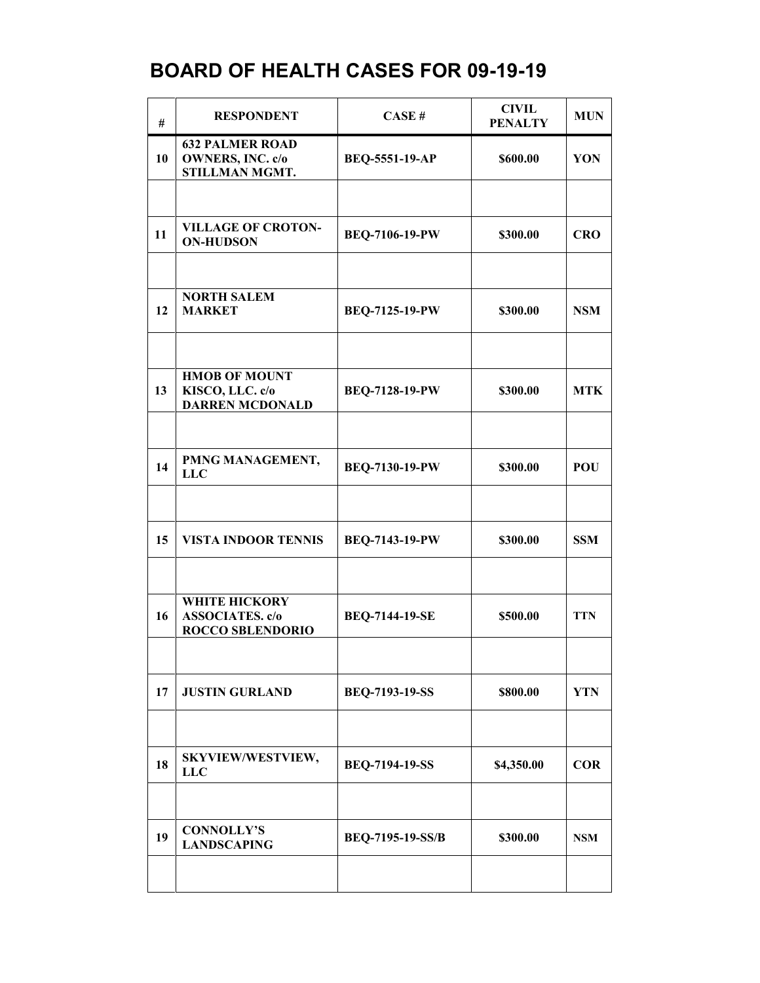| #  | <b>RESPONDENT</b>                                                         | CASE#                 | <b>CIVIL</b><br><b>PENALTY</b> | <b>MUN</b> |
|----|---------------------------------------------------------------------------|-----------------------|--------------------------------|------------|
| 10 | <b>632 PALMER ROAD</b><br><b>OWNERS, INC. c/o</b><br>STILLMAN MGMT.       | <b>BEQ-5551-19-AP</b> | \$600.00                       | YON        |
|    |                                                                           |                       |                                |            |
| 11 | <b>VILLAGE OF CROTON-</b><br><b>ON-HUDSON</b>                             | <b>BEQ-7106-19-PW</b> | \$300.00                       | <b>CRO</b> |
|    |                                                                           |                       |                                |            |
| 12 | <b>NORTH SALEM</b><br><b>MARKET</b>                                       | BEQ-7125-19-PW        | \$300.00                       | <b>NSM</b> |
|    |                                                                           |                       |                                |            |
| 13 | <b>HMOB OF MOUNT</b><br>KISCO, LLC. c/o<br><b>DARREN MCDONALD</b>         | <b>BEQ-7128-19-PW</b> | \$300.00                       | <b>MTK</b> |
|    |                                                                           |                       |                                |            |
| 14 | PMNG MANAGEMENT,<br><b>LLC</b>                                            | <b>BEQ-7130-19-PW</b> | \$300.00                       | POU        |
|    |                                                                           |                       |                                |            |
| 15 | <b>VISTA INDOOR TENNIS</b>                                                | <b>BEQ-7143-19-PW</b> | \$300.00                       | <b>SSM</b> |
|    |                                                                           |                       |                                |            |
| 16 | <b>WHITE HICKORY</b><br><b>ASSOCIATES.</b> c/o<br><b>ROCCO SBLENDORIO</b> | <b>BEQ-7144-19-SE</b> | \$500.00                       | <b>TTN</b> |
|    |                                                                           |                       |                                |            |
| 17 | <b>JUSTIN GURLAND</b>                                                     | <b>BEQ-7193-19-SS</b> | \$800.00                       | <b>YTN</b> |
|    |                                                                           |                       |                                |            |
| 18 | <b>SKYVIEW/WESTVIEW,</b><br><b>LLC</b>                                    | <b>BEQ-7194-19-SS</b> | \$4,350.00                     | <b>COR</b> |
|    |                                                                           |                       |                                |            |
| 19 | <b>CONNOLLY'S</b><br><b>LANDSCAPING</b>                                   | BEQ-7195-19-SS/B      | \$300.00                       | <b>NSM</b> |
|    |                                                                           |                       |                                |            |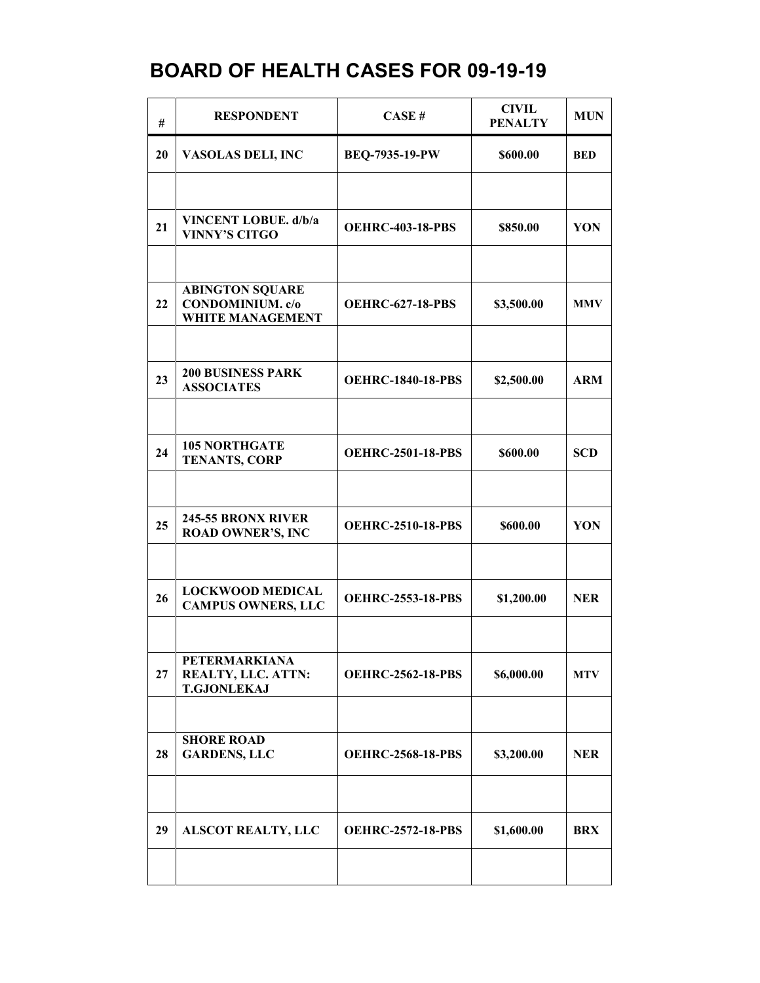| #  | <b>RESPONDENT</b>                                                            | CASE#                    | <b>CIVIL</b><br><b>PENALTY</b> | <b>MUN</b> |
|----|------------------------------------------------------------------------------|--------------------------|--------------------------------|------------|
| 20 | VASOLAS DELI, INC                                                            | BEQ-7935-19-PW           | \$600.00                       | <b>BED</b> |
|    |                                                                              |                          |                                |            |
| 21 | VINCENT LOBUE. d/b/a<br><b>VINNY'S CITGO</b>                                 | <b>OEHRC-403-18-PBS</b>  | \$850.00                       | YON        |
|    |                                                                              |                          |                                |            |
| 22 | <b>ABINGTON SQUARE</b><br><b>CONDOMINIUM.</b> c/o<br><b>WHITE MANAGEMENT</b> | <b>OEHRC-627-18-PBS</b>  | \$3,500.00                     | <b>MMV</b> |
|    |                                                                              |                          |                                |            |
| 23 | <b>200 BUSINESS PARK</b><br><b>ASSOCIATES</b>                                | <b>OEHRC-1840-18-PBS</b> | \$2,500.00                     | <b>ARM</b> |
|    |                                                                              |                          |                                |            |
| 24 | <b>105 NORTHGATE</b><br><b>TENANTS, CORP</b>                                 | <b>OEHRC-2501-18-PBS</b> | \$600.00                       | <b>SCD</b> |
|    |                                                                              |                          |                                |            |
| 25 | 245-55 BRONX RIVER<br><b>ROAD OWNER'S, INC</b>                               | <b>OEHRC-2510-18-PBS</b> | \$600.00                       | YON        |
|    |                                                                              |                          |                                |            |
| 26 | <b>LOCKWOOD MEDICAL</b><br><b>CAMPUS OWNERS, LLC</b>                         | <b>OEHRC-2553-18-PBS</b> | \$1,200.00                     | <b>NER</b> |
|    |                                                                              |                          |                                |            |
| 27 | <b>PETERMARKIANA</b><br>REALTY, LLC. ATTN:<br><b>T.GJONLEKAJ</b>             | <b>OEHRC-2562-18-PBS</b> | \$6,000.00                     | <b>MTV</b> |
|    |                                                                              |                          |                                |            |
| 28 | <b>SHORE ROAD</b><br><b>GARDENS, LLC</b>                                     | <b>OEHRC-2568-18-PBS</b> | \$3,200.00                     | <b>NER</b> |
|    |                                                                              |                          |                                |            |
| 29 | <b>ALSCOT REALTY, LLC</b>                                                    | <b>OEHRC-2572-18-PBS</b> | \$1,600.00                     | <b>BRX</b> |
|    |                                                                              |                          |                                |            |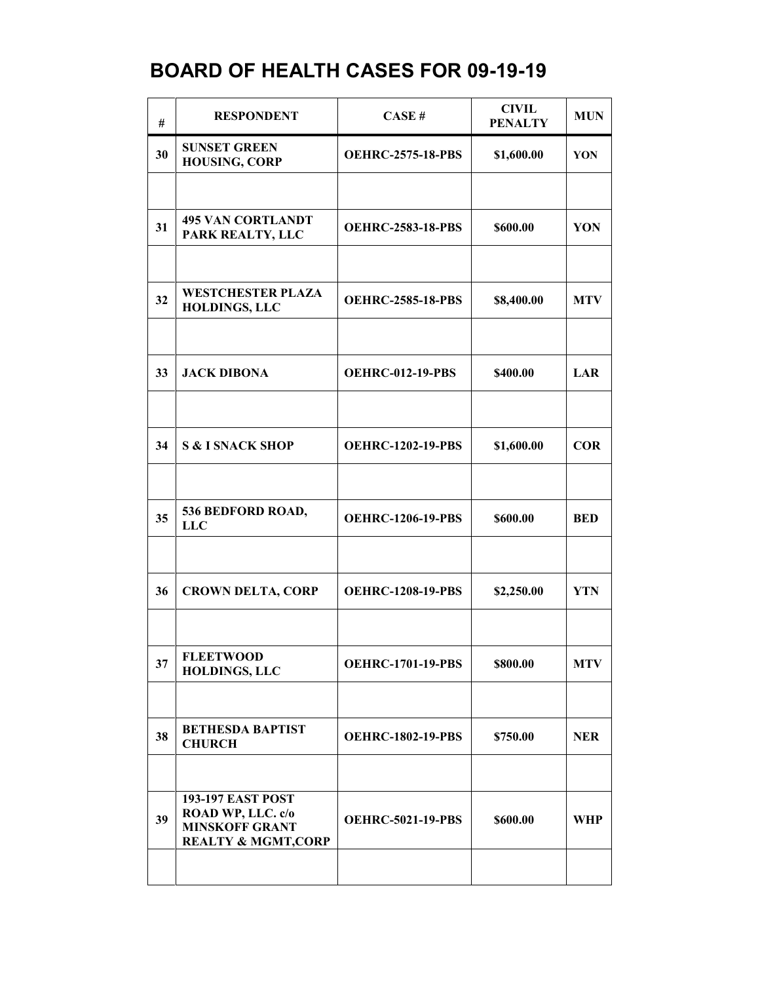| #  | <b>RESPONDENT</b>                                                                                        | CASE#                    | <b>CIVIL</b><br><b>PENALTY</b> | <b>MUN</b> |
|----|----------------------------------------------------------------------------------------------------------|--------------------------|--------------------------------|------------|
| 30 | <b>SUNSET GREEN</b><br><b>HOUSING, CORP</b>                                                              | <b>OEHRC-2575-18-PBS</b> | \$1,600.00                     | YON        |
|    |                                                                                                          |                          |                                |            |
| 31 | <b>495 VAN CORTLANDT</b><br>PARK REALTY, LLC                                                             | <b>OEHRC-2583-18-PBS</b> | \$600.00                       | YON        |
|    |                                                                                                          |                          |                                |            |
| 32 | <b>WESTCHESTER PLAZA</b><br><b>HOLDINGS, LLC</b>                                                         | <b>OEHRC-2585-18-PBS</b> | \$8,400.00                     | <b>MTV</b> |
|    |                                                                                                          |                          |                                |            |
| 33 | <b>JACK DIBONA</b>                                                                                       | <b>OEHRC-012-19-PBS</b>  | \$400.00                       | LAR        |
|    |                                                                                                          |                          |                                |            |
| 34 | <b>S &amp; I SNACK SHOP</b>                                                                              | <b>OEHRC-1202-19-PBS</b> | \$1,600.00                     | <b>COR</b> |
|    |                                                                                                          |                          |                                |            |
| 35 | 536 BEDFORD ROAD,<br><b>LLC</b>                                                                          | <b>OEHRC-1206-19-PBS</b> | \$600.00                       | <b>BED</b> |
|    |                                                                                                          |                          |                                |            |
| 36 | <b>CROWN DELTA, CORP</b>                                                                                 | <b>OEHRC-1208-19-PBS</b> | \$2,250.00                     | <b>YTN</b> |
|    |                                                                                                          |                          |                                |            |
| 37 | <b>FLEETWOOD</b><br><b>HOLDINGS, LLC</b>                                                                 | <b>OEHRC-1701-19-PBS</b> | \$800.00                       | <b>MTV</b> |
|    |                                                                                                          |                          |                                |            |
| 38 | <b>BETHESDA BAPTIST</b><br><b>CHURCH</b>                                                                 | <b>OEHRC-1802-19-PBS</b> | \$750.00                       | <b>NER</b> |
|    |                                                                                                          |                          |                                |            |
| 39 | <b>193-197 EAST POST</b><br>ROAD WP, LLC. c/o<br><b>MINSKOFF GRANT</b><br><b>REALTY &amp; MGMT, CORP</b> | <b>OEHRC-5021-19-PBS</b> | \$600.00                       | WHP        |
|    |                                                                                                          |                          |                                |            |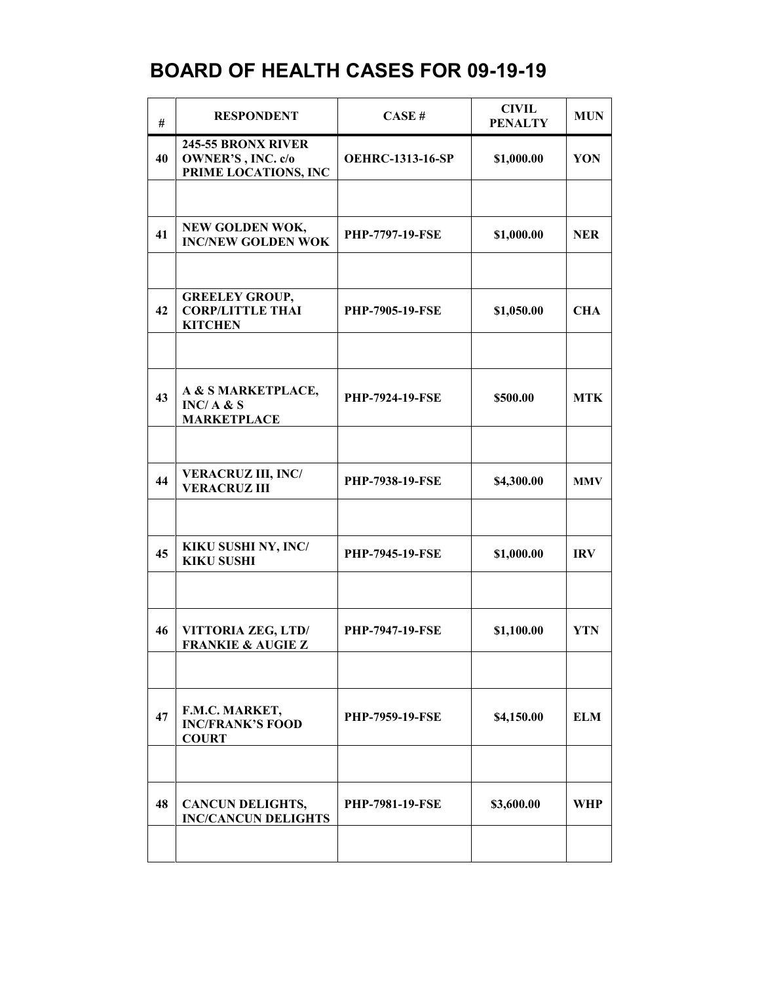| #  | <b>RESPONDENT</b>                                                      | CASE#                   | <b>CIVIL</b><br><b>PENALTY</b> | <b>MUN</b> |
|----|------------------------------------------------------------------------|-------------------------|--------------------------------|------------|
| 40 | 245-55 BRONX RIVER<br><b>OWNER'S, INC. c/o</b><br>PRIME LOCATIONS, INC | <b>OEHRC-1313-16-SP</b> | \$1,000.00                     | YON        |
|    |                                                                        |                         |                                |            |
| 41 | NEW GOLDEN WOK,<br><b>INC/NEW GOLDEN WOK</b>                           | <b>PHP-7797-19-FSE</b>  | \$1,000.00                     | <b>NER</b> |
|    |                                                                        |                         |                                |            |
| 42 | <b>GREELEY GROUP,</b><br><b>CORP/LITTLE THAI</b><br><b>KITCHEN</b>     | <b>PHP-7905-19-FSE</b>  | \$1,050.00                     | <b>CHA</b> |
|    |                                                                        |                         |                                |            |
| 43 | A & S MARKETPLACE,<br>INC/A & S<br><b>MARKETPLACE</b>                  | <b>PHP-7924-19-FSE</b>  | \$500.00                       | <b>MTK</b> |
|    |                                                                        |                         |                                |            |
| 44 | <b>VERACRUZ III, INC/</b><br><b>VERACRUZ III</b>                       | <b>PHP-7938-19-FSE</b>  | \$4,300.00                     | <b>MMV</b> |
|    |                                                                        |                         |                                |            |
| 45 | KIKU SUSHI NY, INC/<br><b>KIKU SUSHI</b>                               | <b>PHP-7945-19-FSE</b>  | \$1,000.00                     | <b>IRV</b> |
|    |                                                                        |                         |                                |            |
| 46 | VITTORIA ZEG, LTD/<br><b>FRANKIE &amp; AUGIE Z</b>                     | PHP-7947-19-FSE         | \$1,100.00                     | <b>YTN</b> |
|    |                                                                        |                         |                                |            |
| 47 | F.M.C. MARKET,<br><b>INC/FRANK'S FOOD</b><br><b>COURT</b>              | <b>PHP-7959-19-FSE</b>  | \$4,150.00                     | <b>ELM</b> |
|    |                                                                        |                         |                                |            |
| 48 | <b>CANCUN DELIGHTS,</b><br><b>INC/CANCUN DELIGHTS</b>                  | <b>PHP-7981-19-FSE</b>  | \$3,600.00                     | WHP        |
|    |                                                                        |                         |                                |            |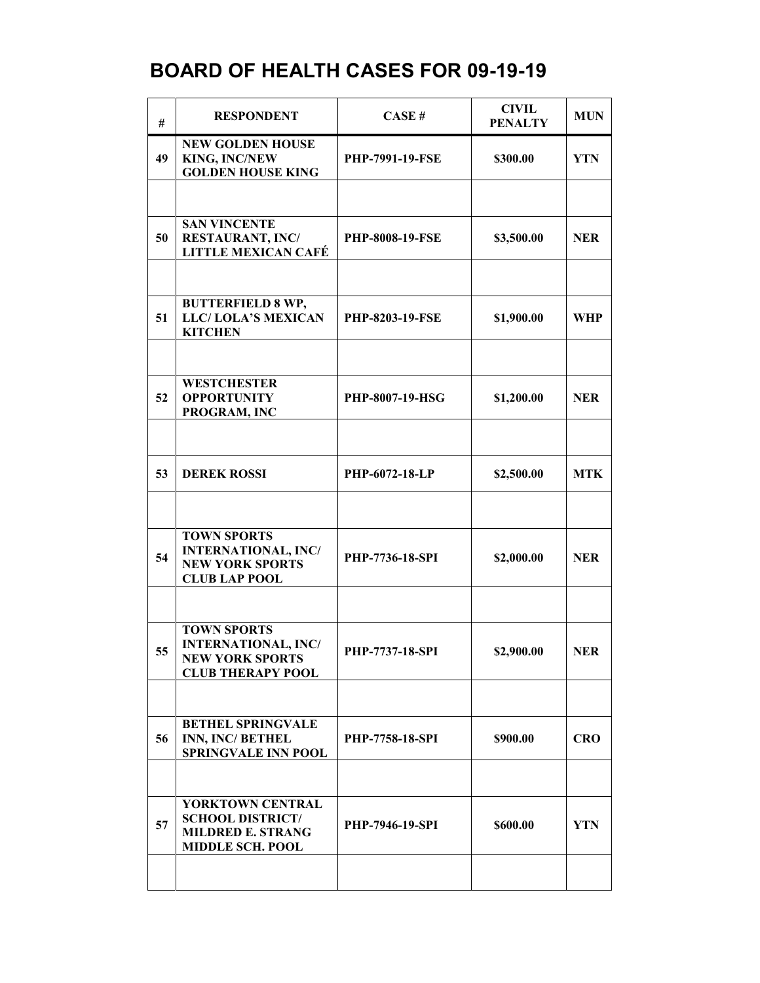| #  | <b>RESPONDENT</b>                                                                                      | CASE#                  | <b>CIVIL</b><br><b>PENALTY</b> | <b>MUN</b> |
|----|--------------------------------------------------------------------------------------------------------|------------------------|--------------------------------|------------|
| 49 | <b>NEW GOLDEN HOUSE</b><br><b>KING, INC/NEW</b><br><b>GOLDEN HOUSE KING</b>                            | <b>PHP-7991-19-FSE</b> | \$300.00                       | <b>YTN</b> |
|    |                                                                                                        |                        |                                |            |
| 50 | <b>SAN VINCENTE</b><br><b>RESTAURANT, INC/</b><br><b>LITTLE MEXICAN CAFÉ</b>                           | <b>PHP-8008-19-FSE</b> | \$3,500.00                     | <b>NER</b> |
|    |                                                                                                        |                        |                                |            |
| 51 | <b>BUTTERFIELD 8 WP,</b><br>LLC/LOLA'S MEXICAN<br><b>KITCHEN</b>                                       | <b>PHP-8203-19-FSE</b> | \$1,900.00                     | <b>WHP</b> |
|    |                                                                                                        |                        |                                |            |
| 52 | <b>WESTCHESTER</b><br><b>OPPORTUNITY</b><br>PROGRAM, INC                                               | PHP-8007-19-HSG        | \$1,200.00                     | <b>NER</b> |
|    |                                                                                                        |                        |                                |            |
| 53 | <b>DEREK ROSSI</b>                                                                                     | PHP-6072-18-LP         | \$2,500.00                     | <b>MTK</b> |
|    |                                                                                                        |                        |                                |            |
| 54 | <b>TOWN SPORTS</b><br><b>INTERNATIONAL, INC/</b><br><b>NEW YORK SPORTS</b><br><b>CLUB LAP POOL</b>     | PHP-7736-18-SPI        | \$2,000.00                     | <b>NER</b> |
|    |                                                                                                        |                        |                                |            |
| 55 | <b>TOWN SPORTS</b><br><b>INTERNATIONAL, INC/</b><br><b>NEW YORK SPORTS</b><br><b>CLUB THERAPY POOL</b> | <b>PHP-7737-18-SPI</b> | \$2,900.00                     | <b>NER</b> |
|    |                                                                                                        |                        |                                |            |
| 56 | <b>BETHEL SPRINGVALE</b><br>INN, INC/BETHEL<br><b>SPRINGVALE INN POOL</b>                              | <b>PHP-7758-18-SPI</b> | \$900.00                       | <b>CRO</b> |
|    |                                                                                                        |                        |                                |            |
| 57 | YORKTOWN CENTRAL<br><b>SCHOOL DISTRICT/</b><br><b>MILDRED E. STRANG</b><br><b>MIDDLE SCH. POOL</b>     | <b>PHP-7946-19-SPI</b> | \$600.00                       | <b>YTN</b> |
|    |                                                                                                        |                        |                                |            |